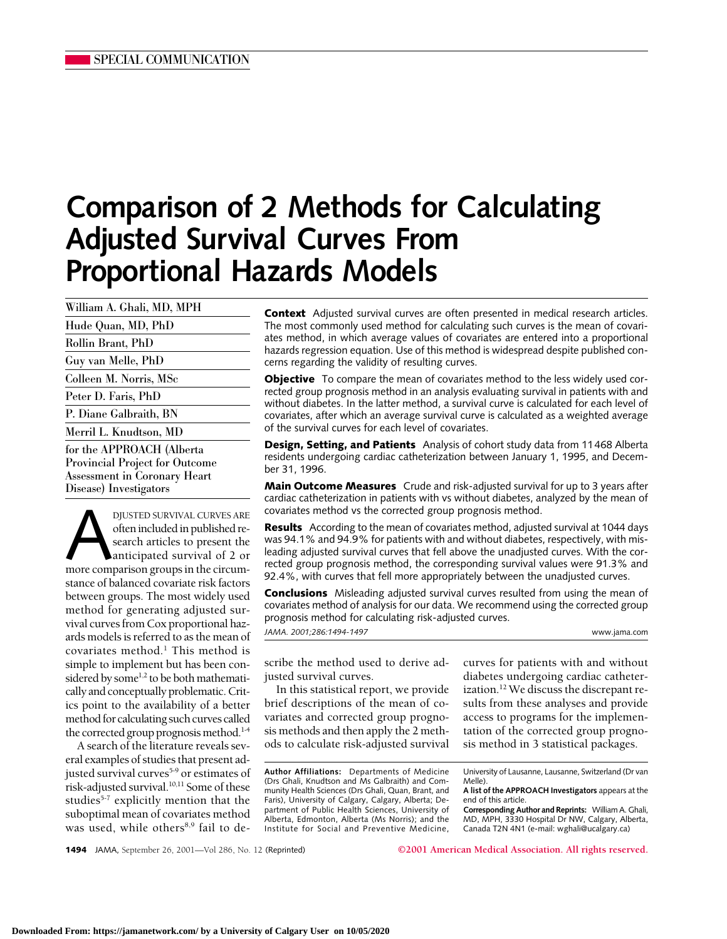# **Comparison of 2 Methods for Calculating Adjusted Survival Curves From Proportional Hazards Models**

| William A. Ghali, MD, MPH             |
|---------------------------------------|
| Hude Quan, MD, PhD                    |
| Rollin Brant, PhD                     |
| Guy van Melle, PhD                    |
| Colleen M. Norris, MSc                |
| Peter D. Faris, PhD                   |
| P. Diane Galbraith, BN                |
| Merril L. Knudtson, MD                |
| for the APPROACH (Alberta             |
| <b>Provincial Project for Outcome</b> |
| Assessment in Coronary Heart          |
| Disease) Investigators                |

DJUSTED SURVIVAL CURVES ARE<br>often included in published re-<br>search articles to present the<br>anticipated survival of 2 or<br>more comparison groups in the circumoften included in published research articles to present the anticipated survival of 2 or stance of balanced covariate risk factors between groups. The most widely used method for generating adjusted survival curves from Cox proportional hazards models is referred to as the mean of covariates method.<sup>1</sup> This method is simple to implement but has been considered by some<sup>1,2</sup> to be both mathematically and conceptually problematic. Critics point to the availability of a better method for calculating such curves called the corrected group prognosis method.<sup>14</sup>

A search of the literature reveals several examples of studies that present adjusted survival curves<sup>5-9</sup> or estimates of risk-adjusted survival.<sup>10,11</sup> Some of these studies<sup>5-7</sup> explicitly mention that the suboptimal mean of covariates method was used, while others<sup>8,9</sup> fail to de**Context** Adjusted survival curves are often presented in medical research articles. The most commonly used method for calculating such curves is the mean of covariates method, in which average values of covariates are entered into a proportional hazards regression equation. Use of this method is widespread despite published concerns regarding the validity of resulting curves.

**Objective** To compare the mean of covariates method to the less widely used corrected group prognosis method in an analysis evaluating survival in patients with and without diabetes. In the latter method, a survival curve is calculated for each level of covariates, after which an average survival curve is calculated as a weighted average of the survival curves for each level of covariates.

**Design, Setting, and Patients** Analysis of cohort study data from 11468 Alberta residents undergoing cardiac catheterization between January 1, 1995, and December 31, 1996.

**Main Outcome Measures** Crude and risk-adjusted survival for up to 3 years after cardiac catheterization in patients with vs without diabetes, analyzed by the mean of covariates method vs the corrected group prognosis method.

**Results** According to the mean of covariates method, adjusted survival at 1044 days was 94.1% and 94.9% for patients with and without diabetes, respectively, with misleading adjusted survival curves that fell above the unadjusted curves. With the corrected group prognosis method, the corresponding survival values were 91.3% and 92.4%, with curves that fell more appropriately between the unadjusted curves.

**Conclusions** Misleading adjusted survival curves resulted from using the mean of covariates method of analysis for our data. We recommend using the corrected group prognosis method for calculating risk-adjusted curves.

*JAMA. 2001;286:1494-1497* www.jama.com

scribe the method used to derive adjusted survival curves.

In this statistical report, we provide brief descriptions of the mean of covariates and corrected group prognosis methods and then apply the 2 methods to calculate risk-adjusted survival

**Author Affiliations:** Departments of Medicine (Drs Ghali, Knudtson and Ms Galbraith) and Community Health Sciences (Drs Ghali, Quan, Brant, and Faris), University of Calgary, Calgary, Alberta; Department of Public Health Sciences, University of Alberta, Edmonton, Alberta (Ms Norris); and the Institute for Social and Preventive Medicine,

curves for patients with and without diabetes undergoing cardiac catheterization.<sup>12</sup> We discuss the discrepant results from these analyses and provide access to programs for the implementation of the corrected group prognosis method in 3 statistical packages.

University of Lausanne, Lausanne, Switzerland (Dr van Melle).

**1494** JAMA, September 26, 2001—Vol 286, No. 12 (Reprinted) **©2001 American Medical Association. All rights reserved.**

**A list of the APPROACH Investigators** appears at the end of this article.

**Corresponding Author and Reprints:** William A. Ghali, MD, MPH, 3330 Hospital Dr NW, Calgary, Alberta, Canada T2N 4N1 (e-mail: wghali@ucalgary.ca)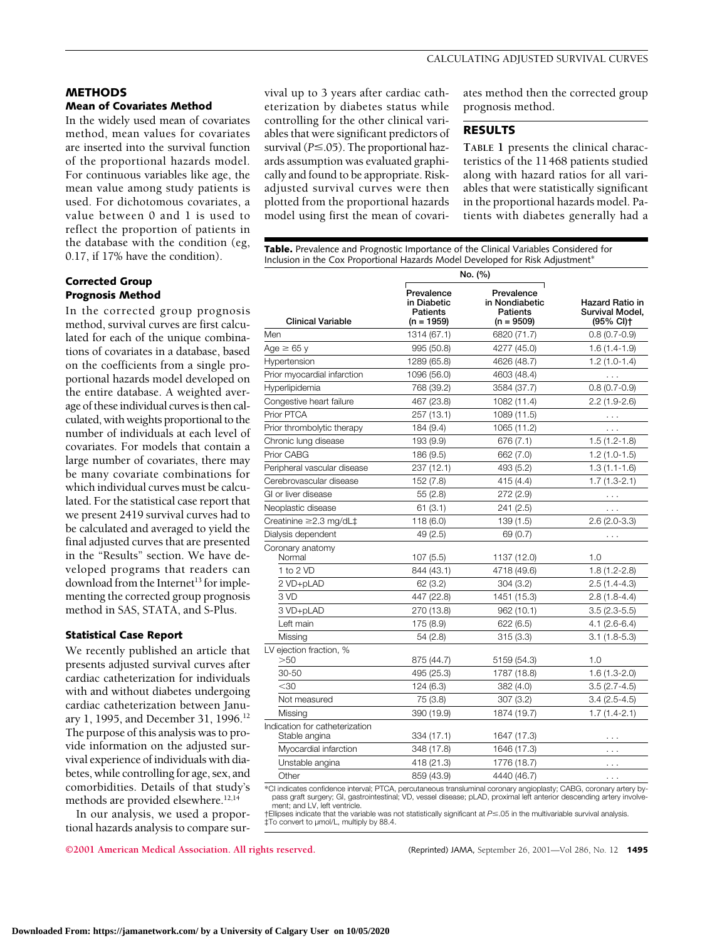## **METHODS Mean of Covariates Method**

In the widely used mean of covariates method, mean values for covariates are inserted into the survival function of the proportional hazards model. For continuous variables like age, the mean value among study patients is used. For dichotomous covariates, a value between 0 and 1 is used to reflect the proportion of patients in the database with the condition (eg, 0.17, if 17% have the condition).

# **Corrected Group Prognosis Method**

In the corrected group prognosis method, survival curves are first calculated for each of the unique combinations of covariates in a database, based on the coefficients from a single proportional hazards model developed on the entire database. A weighted average of these individual curves is then calculated, with weights proportional to the number of individuals at each level of covariates. For models that contain a large number of covariates, there may be many covariate combinations for which individual curves must be calculated. For the statistical case report that we present 2419 survival curves had to be calculated and averaged to yield the final adjusted curves that are presented in the "Results" section. We have developed programs that readers can download from the Internet<sup>13</sup> for implementing the corrected group prognosis method in SAS, STATA, and S-Plus.

# **Statistical Case Report**

We recently published an article that presents adjusted survival curves after cardiac catheterization for individuals with and without diabetes undergoing cardiac catheterization between January 1, 1995, and December 31, 1996.12 The purpose of this analysis was to provide information on the adjusted survival experience of individuals with diabetes, while controlling for age, sex, and comorbidities. Details of that study's methods are provided elsewhere.<sup>12,14</sup>

In our analysis, we used a proportional hazards analysis to compare survival up to 3 years after cardiac catheterization by diabetes status while controlling for the other clinical variables that were significant predictors of survival ( $P \le 0.05$ ). The proportional hazards assumption was evaluated graphically and found to be appropriate. Riskadjusted survival curves were then plotted from the proportional hazards model using first the mean of covari-

ates method then the corrected group prognosis method.

# **RESULTS**

**TABLE 1** presents the clinical characteristics of the 11468 patients studied along with hazard ratios for all variables that were statistically significant in the proportional hazards model. Patients with diabetes generally had a

**Table.** Prevalence and Prognostic Importance of the Clinical Variables Considered for Inclusion in the Cox Proportional Hazards Model Developed for Risk Adjustment\*

|                                                 | No. (%)                                               |                                                          |                                                        |
|-------------------------------------------------|-------------------------------------------------------|----------------------------------------------------------|--------------------------------------------------------|
| <b>Clinical Variable</b>                        | Prevalence<br>in Diabetic<br>Patients<br>$(n = 1959)$ | Prevalence<br>in Nondiabetic<br>Patients<br>$(n = 9509)$ | <b>Hazard Ratio in</b><br>Survival Model,<br>(95% CI)† |
| Men                                             | 1314 (67.1)                                           | 6820 (71.7)                                              | $0.8(0.7-0.9)$                                         |
| Age $\geq 65$ y                                 | 995 (50.8)                                            | 4277 (45.0)                                              | $1.6(1.4-1.9)$                                         |
| Hypertension                                    | 1289 (65.8)                                           | 4626 (48.7)                                              | $1.2(1.0-1.4)$                                         |
| Prior myocardial infarction                     | 1096 (56.0)                                           | 4603 (48.4)                                              | $\sim$ .                                               |
| Hyperlipidemia                                  | 768 (39.2)                                            | 3584 (37.7)                                              | $0.8(0.7-0.9)$                                         |
| Congestive heart failure                        | 467 (23.8)                                            | 1082 (11.4)                                              | $2.2(1.9-2.6)$                                         |
| Prior PTCA                                      | 257 (13.1)                                            | 1089 (11.5)                                              | .                                                      |
| Prior thrombolytic therapy                      | 184 (9.4)                                             | 1065 (11.2)                                              | .                                                      |
| Chronic lung disease                            | 193 (9.9)                                             | 676 (7.1)                                                | $1.5(1.2-1.8)$                                         |
| Prior CABG                                      | 186 (9.5)                                             | 662 (7.0)                                                | $1.2(1.0-1.5)$                                         |
| Peripheral vascular disease                     | 237 (12.1)                                            | 493 (5.2)                                                | $1.3(1.1-1.6)$                                         |
| Cerebrovascular disease                         | 152 (7.8)                                             | 415 (4.4)                                                | $1.7(1.3-2.1)$                                         |
| GI or liver disease                             | 55(2.8)                                               | 272 (2.9)                                                | $\cdots$                                               |
| Neoplastic disease                              | 61(3.1)                                               | 241 (2.5)                                                | $\cdots$                                               |
| Creatinine ≥2.3 mg/dL‡                          | 118(6.0)                                              | 139(1.5)                                                 | $2.6(2.0-3.3)$                                         |
| Dialysis dependent                              | 49 (2.5)                                              | 69 (0.7)                                                 | .                                                      |
| Coronary anatomy<br>Normal                      | 107(5.5)                                              | 1137 (12.0)                                              | 1.0                                                    |
| 1 to 2 VD                                       | 844 (43.1)                                            | 4718 (49.6)                                              | $1.8(1.2 - 2.8)$                                       |
| 2 VD+pLAD                                       | 62(3.2)                                               | 304 (3.2)                                                | $2.5(1.4-4.3)$                                         |
| 3 VD                                            | 447 (22.8)                                            | 1451 (15.3)                                              | $2.8(1.8-4.4)$                                         |
| 3 VD+pLAD                                       | 270 (13.8)                                            | 962 (10.1)                                               | $3.5(2.3-5.5)$                                         |
| Left main                                       | 175 (8.9)                                             | 622(6.5)                                                 | $4.1(2.6-6.4)$                                         |
| Missing                                         | 54 (2.8)                                              | 315(3.3)                                                 | $3.1(1.8-5.3)$                                         |
| LV ejection fraction, %<br>>50                  | 875 (44.7)                                            | 5159 (54.3)                                              | 1.0                                                    |
| 30-50                                           | 495 (25.3)                                            | 1787 (18.8)                                              | $1.6(1.3-2.0)$                                         |
| $30$                                            | 124 (6.3)                                             | 382 (4.0)                                                | $3.5(2.7-4.5)$                                         |
| Not measured                                    | 75 (3.8)                                              | 307 (3.2)                                                | $3.4(2.5-4.5)$                                         |
| Missing                                         | 390 (19.9)                                            | 1874 (19.7)                                              | $1.7(1.4-2.1)$                                         |
| Indication for catheterization<br>Stable angina | 334 (17.1)                                            | 1647 (17.3)                                              | .                                                      |
| Myocardial infarction                           | 348 (17.8)                                            | 1646 (17.3)                                              | $\cdots$                                               |
| Unstable angina                                 | 418 (21.3)                                            | 1776 (18.7)                                              | $\cdots$                                               |
| Other                                           | 859 (43.9)                                            | 4440 (46.7)                                              | $\cdots$                                               |
|                                                 |                                                       |                                                          |                                                        |

\*CI indicates confidence interval; PTCA, percutaneous transluminal coronary angioplasty; CABG, coronary artery bypass graft surgery; GI, gastrointestinal; VD, vessel disease; pLAD, proximal left anterior descending artery involvement; and LV, left ventricle.

†Ellipses indicate that the variable was not statistically significant at *P*≤.05 in the multivariable survival analysis. ‡To convert to µmol/L, multiply by 88.4.

**©2001 American Medical Association. All rights reserved.** (Reprinted) JAMA, September 26, 2001—Vol 286, No. 12 **1495**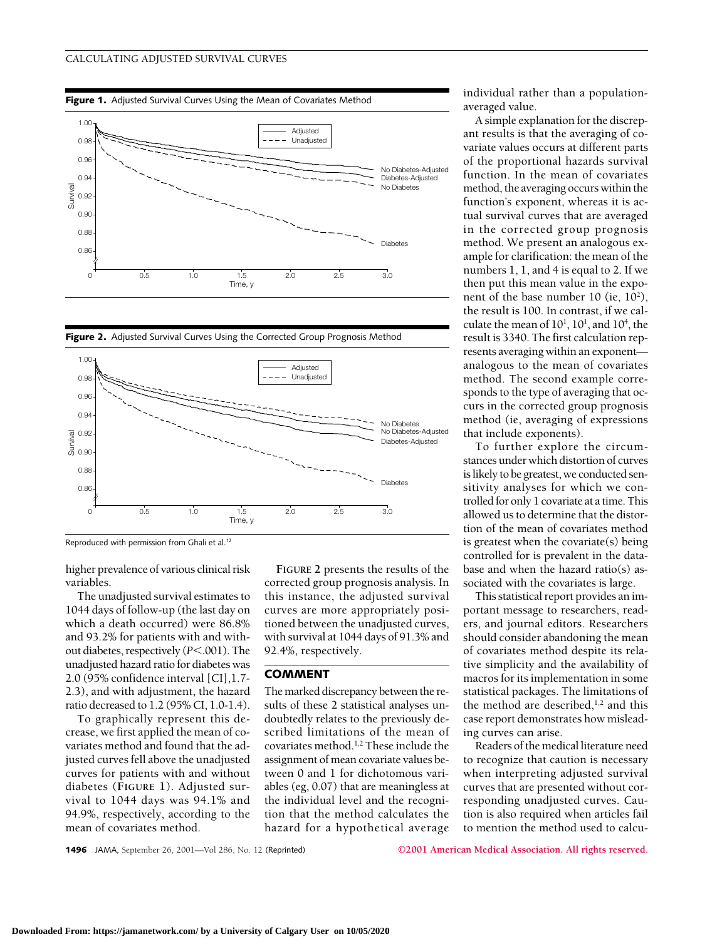







Reproduced with permission from Ghali et al.12

higher prevalence of various clinical risk variables.

The unadjusted survival estimates to 1044 days of follow-up (the last day on which a death occurred) were 86.8% and 93.2% for patients with and without diabetes, respectively ( $P$ <.001). The unadjusted hazard ratio for diabetes was 2.0 (95% confidence interval [CI],1.7- 2.3), and with adjustment, the hazard ratio decreased to 1.2 (95% CI, 1.0-1.4).

To graphically represent this decrease, we first applied the mean of covariates method and found that the adjusted curves fell above the unadjusted curves for patients with and without diabetes (**FIGURE 1**). Adjusted survival to 1044 days was 94.1% and 94.9%, respectively, according to the mean of covariates method.

**FIGURE 2** presents the results of the corrected group prognosis analysis. In this instance, the adjusted survival curves are more appropriately positioned between the unadjusted curves, with survival at 1044 days of 91.3% and 92.4%, respectively.

## **COMMENT**

The marked discrepancy between the results of these 2 statistical analyses undoubtedly relates to the previously described limitations of the mean of covariates method.1,2 These include the assignment of mean covariate values between 0 and 1 for dichotomous variables (eg, 0.07) that are meaningless at the individual level and the recognition that the method calculates the hazard for a hypothetical average individual rather than a populationaveraged value.

A simple explanation for the discrepant results is that the averaging of covariate values occurs at different parts of the proportional hazards survival function. In the mean of covariates method, the averaging occurs within the function's exponent, whereas it is actual survival curves that are averaged in the corrected group prognosis method. We present an analogous example for clarification: the mean of the numbers 1, 1, and 4 is equal to 2. If we then put this mean value in the exponent of the base number 10 (ie, 10<sup>2</sup>), the result is 100. In contrast, if we calculate the mean of  $10^1$ ,  $10^1$ , and  $10^4$ , the result is 3340. The first calculation represents averaging within an exponent analogous to the mean of covariates method. The second example corresponds to the type of averaging that occurs in the corrected group prognosis method (ie, averaging of expressions that include exponents).

To further explore the circumstances under which distortion of curves is likely to be greatest, we conducted sensitivity analyses for which we controlled for only 1 covariate at a time. This allowed us to determine that the distortion of the mean of covariates method is greatest when the covariate(s) being controlled for is prevalent in the database and when the hazard ratio(s) associated with the covariates is large.

This statistical report provides an important message to researchers, readers, and journal editors. Researchers should consider abandoning the mean of covariates method despite its relative simplicity and the availability of macros for its implementation in some statistical packages. The limitations of the method are described, $1,2$  and this case report demonstrates how misleading curves can arise.

Readers of the medical literature need to recognize that caution is necessary when interpreting adjusted survival curves that are presented without corresponding unadjusted curves. Caution is also required when articles fail to mention the method used to calcu-

**1496** JAMA, September 26, 2001—Vol 286, No. 12 (Reprinted) **©2001 American Medical Association. All rights reserved.**